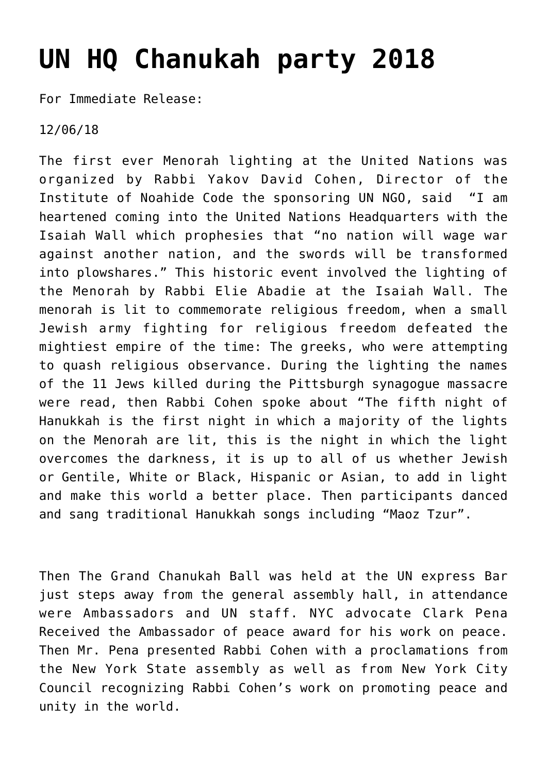## **[UN HQ Chanukah party 2018](http://noahide.org/un-hq-chanukah-ball-2018/)**

For Immediate Release:

12/06/18

The first ever Menorah lighting at the United Nations was organized by Rabbi Yakov David Cohen, Director of the Institute of Noahide Code the sponsoring UN NGO, said "I am heartened coming into the United Nations Headquarters with the Isaiah Wall which prophesies that "no nation will wage war against another nation, and the swords will be transformed into plowshares." This historic event involved the lighting of the Menorah by Rabbi Elie Abadie at the Isaiah Wall. The menorah is lit to commemorate religious freedom, when a small Jewish army fighting for religious freedom defeated the mightiest empire of the time: The greeks, who were attempting to quash religious observance. During the lighting the names of the 11 Jews killed during the Pittsburgh synagogue massacre were read, then Rabbi Cohen spoke about "The fifth night of Hanukkah is the first night in which a majority of the lights on the Menorah are lit, this is the night in which the light overcomes the darkness, it is up to all of us whether Jewish or Gentile, White or Black, Hispanic or Asian, to add in light and make this world a better place. Then participants danced and sang traditional Hanukkah songs including "Maoz Tzur".

Then The Grand Chanukah Ball was held at the UN express Bar just steps away from the general assembly hall, in attendance were Ambassadors and UN staff. NYC advocate Clark Pena Received the Ambassador of peace award for his work on peace. Then Mr. Pena presented Rabbi Cohen with a proclamations from the New York State assembly as well as from New York City Council recognizing Rabbi Cohen's work on promoting peace and unity in the world.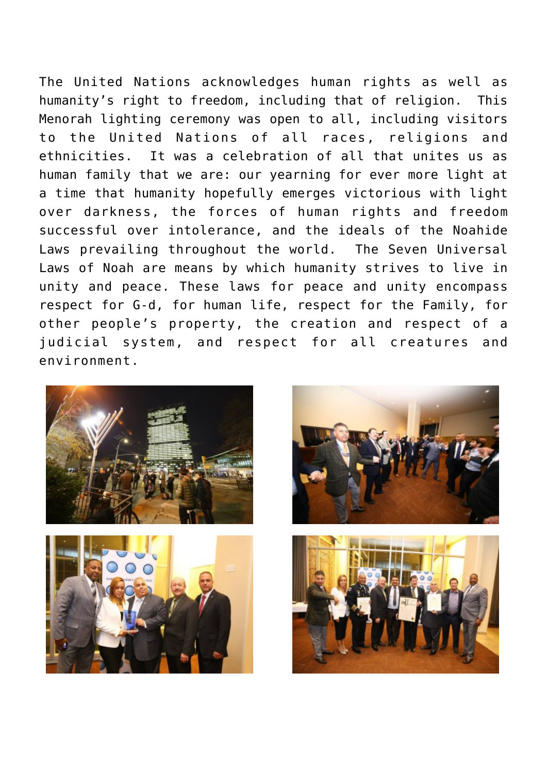The United Nations acknowledges human rights as well as humanity's right to freedom, including that of religion. This Menorah lighting ceremony was open to all, including visitors to the United Nations of all races, religions and ethnicities. It was a celebration of all that unites us as human family that we are: our yearning for ever more light at a time that humanity hopefully emerges victorious with light over darkness, the forces of human rights and freedom successful over intolerance, and the ideals of the Noahide Laws prevailing throughout the world. The Seven Universal Laws of Noah are means by which humanity strives to live in unity and peace. These laws for peace and unity encompass respect for G-d, for human life, respect for the Family, for other people's property, the creation and respect of a judicial system, and respect for all creatures and environment.